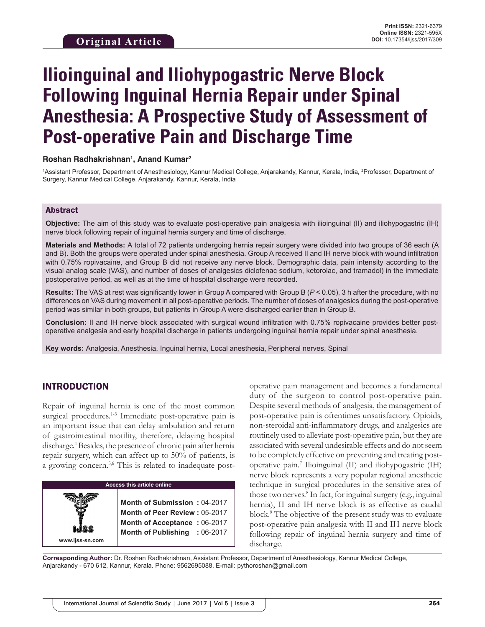# **Ilioinguinal and Iliohypogastric Nerve Block Following Inguinal Hernia Repair under Spinal Anesthesia: A Prospective Study of Assessment of Post-operative Pain and Discharge Time**

## **Roshan Radhakrishnan1 , Anand Kumar2**

1Assistant Professor, Department of Anesthesiology, Kannur Medical College, Anjarakandy, Kannur, Kerala, India, <sup>2</sup>Professor, Department of Surgery, Kannur Medical College, Anjarakandy, Kannur, Kerala, India

#### Abstract

**Objective:** The aim of this study was to evaluate post-operative pain analgesia with ilioinguinal (II) and iliohypogastric (IH) nerve block following repair of inguinal hernia surgery and time of discharge.

**Materials and Methods:** A total of 72 patients undergoing hernia repair surgery were divided into two groups of 36 each (A and B). Both the groups were operated under spinal anesthesia. Group A received II and IH nerve block with wound infiltration with 0.75% ropivacaine, and Group B did not receive any nerve block. Demographic data, pain intensity according to the visual analog scale (VAS), and number of doses of analgesics diclofenac sodium, ketorolac, and tramadol) in the immediate postoperative period, as well as at the time of hospital discharge were recorded.

**Results:** The VAS at rest was significantly lower in Group A compared with Group B (*P* < 0.05), 3 h after the procedure, with no differences on VAS during movement in all post-operative periods. The number of doses of analgesics during the post-operative period was similar in both groups, but patients in Group A were discharged earlier than in Group B.

**Conclusion:** II and IH nerve block associated with surgical wound infiltration with 0.75% ropivacaine provides better postoperative analgesia and early hospital discharge in patients undergoing inguinal hernia repair under spinal anesthesia.

**Key words:** Analgesia, Anesthesia, Inguinal hernia, Local anesthesia, Peripheral nerves, Spinal

## INTRODUCTION

Repair of inguinal hernia is one of the most common surgical procedures.<sup>1-3</sup> Immediate post-operative pain is an important issue that can delay ambulation and return of gastrointestinal motility, therefore, delaying hospital discharge.<sup>4</sup> Besides, the presence of chronic pain after hernia repair surgery, which can affect up to 50% of patients, is a growing concern.<sup>5,6</sup> This is related to inadequate post-

| <b>Access this article online</b> |                                                                                                                                |  |  |  |
|-----------------------------------|--------------------------------------------------------------------------------------------------------------------------------|--|--|--|
| ISS<br>www.ijss-sn.com            | Month of Submission: 04-2017<br>Month of Peer Review: 05-2017<br>Month of Acceptance: 06-2017<br>Month of Publishing : 06-2017 |  |  |  |

operative pain management and becomes a fundamental duty of the surgeon to control post-operative pain. Despite several methods of analgesia, the management of post-operative pain is oftentimes unsatisfactory. Opioids, non-steroidal anti-inflammatory drugs, and analgesics are routinely used to alleviate post-operative pain, but they are associated with several undesirable effects and do not seem to be completely effective on preventing and treating postoperative pain.7 Ilioinguinal (II) and iliohypogastric (IH) nerve block represents a very popular regional anesthetic technique in surgical procedures in the sensitive area of those two nerves.8 In fact, for inguinal surgery (e.g., inguinal hernia), II and IH nerve block is as effective as caudal block.9 The objective of the present study was to evaluate post-operative pain analgesia with II and IH nerve block following repair of inguinal hernia surgery and time of discharge.

**Corresponding Author:** Dr. Roshan Radhakrishnan, Assistant Professor, Department of Anesthesiology, Kannur Medical College, Anjarakandy - 670 612, Kannur, Kerala. Phone: 9562695088. E-mail: pythoroshan@gmail.com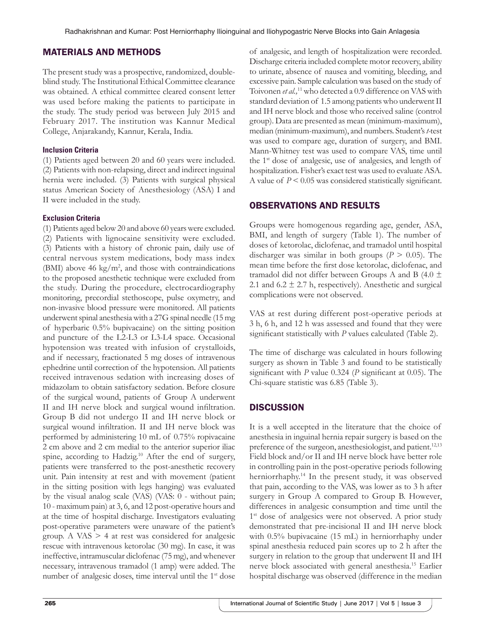# MATERIALS AND METHODS

The present study was a prospective, randomized, doubleblind study. The Institutional Ethical Committee clearance was obtained. A ethical committee cleared consent letter was used before making the patients to participate in the study. The study period was between July 2015 and February 2017. The institution was Kannur Medical College, Anjarakandy, Kannur, Kerala, India.

## **Inclusion Criteria**

(1) Patients aged between 20 and 60 years were included. (2) Patients with non-relapsing, direct and indirect inguinal hernia were included. (3) Patients with surgical physical status American Society of Anesthesiology (ASA) I and II were included in the study.

# **Exclusion Criteria**

(1) Patients aged below 20 and above 60 years were excluded. (2) Patients with lignocaine sensitivity were excluded. (3) Patients with a history of chronic pain, daily use of central nervous system medications, body mass index (BMI) above 46  $\text{kg/m}^2$ , and those with contraindications to the proposed anesthetic technique were excluded from the study. During the procedure, electrocardiography monitoring, precordial stethoscope, pulse oxymetry, and non-invasive blood pressure were monitored. All patients underwent spinal anesthesia with a 27G spinal needle (15 mg of hyperbaric 0.5% bupivacaine) on the sitting position and puncture of the L2-L3 or L3-L4 space. Occasional hypotension was treated with infusion of crystalloids, and if necessary, fractionated 5 mg doses of intravenous ephedrine until correction of the hypotension. All patients received intravenous sedation with increasing doses of midazolam to obtain satisfactory sedation. Before closure of the surgical wound, patients of Group A underwent II and IH nerve block and surgical wound infiltration. Group B did not undergo II and IH nerve block or surgical wound infiltration. II and IH nerve block was performed by administering 10 mL of 0.75% ropivacaine 2 cm above and 2 cm medial to the anterior superior iliac spine, according to Hadzig.<sup>10</sup> After the end of surgery, patients were transferred to the post-anesthetic recovery unit. Pain intensity at rest and with movement (patient in the sitting position with legs hanging) was evaluated by the visual analog scale (VAS) (VAS: 0 - without pain; 10 - maximum pain) at 3, 6, and 12 post-operative hours and at the time of hospital discharge. Investigators evaluating post-operative parameters were unaware of the patient's group. A VAS  $> 4$  at rest was considered for analgesic rescue with intravenous ketorolac (30 mg). In case, it was ineffective, intramuscular diclofenac (75 mg), and whenever necessary, intravenous tramadol (1 amp) were added. The number of analgesic doses, time interval until the 1<sup>st</sup> dose

of analgesic, and length of hospitalization were recorded. Discharge criteria included complete motor recovery, ability to urinate, absence of nausea and vomiting, bleeding, and excessive pain. Sample calculation was based on the study of Toivonen *et al.,*11 who detected a 0.9 difference on VAS with standard deviation of 1.5 among patients who underwent II and IH nerve block and those who received saline (control group). Data are presented as mean (minimum-maximum), median (minimum-maximum), and numbers. Student's *t-*test was used to compare age, duration of surgery, and BMI. Mann-Whitney test was used to compare VAS, time until the 1st dose of analgesic, use of analgesics, and length of hospitalization. Fisher's exact test was used to evaluate ASA. A value of *P* < 0.05 was considered statistically significant.

# OBSERVATIONS AND RESULTS

Groups were homogenous regarding age, gender, ASA, BMI, and length of surgery (Table 1). The number of doses of ketorolac, diclofenac, and tramadol until hospital discharger was similar in both groups  $(P > 0.05)$ . The mean time before the first dose ketorolac, diclofenac, and tramadol did not differ between Groups A and B (4.0  $\pm$ 2.1 and  $6.2 \pm 2.7$  h, respectively). Anesthetic and surgical complications were not observed.

VAS at rest during different post-operative periods at 3 h, 6 h, and 12 h was assessed and found that they were significant statistically with *P* values calculated (Table 2).

The time of discharge was calculated in hours following surgery as shown in Table 3 and found to be statistically significant with *P* value 0.324 (*P* significant at 0.05). The Chi-square statistic was 6.85 (Table 3).

# **DISCUSSION**

It is a well accepted in the literature that the choice of anesthesia in inguinal hernia repair surgery is based on the preference of the surgeon, anesthesiologist, and patient.<sup>12,13</sup> Field block and/or II and IH nerve block have better role in controlling pain in the post-operative periods following herniorrhaphy.14 In the present study, it was observed that pain, according to the VAS, was lower as to 3 h after surgery in Group A compared to Group B. However, differences in analgesic consumption and time until the 1<sup>st</sup> dose of analgesics were not observed. A prior study demonstrated that pre-incisional II and IH nerve block with 0.5% bupivacaine (15 mL) in herniorrhaphy under spinal anesthesia reduced pain scores up to 2 h after the surgery in relation to the group that underwent II and IH nerve block associated with general anesthesia.15 Earlier hospital discharge was observed (difference in the median